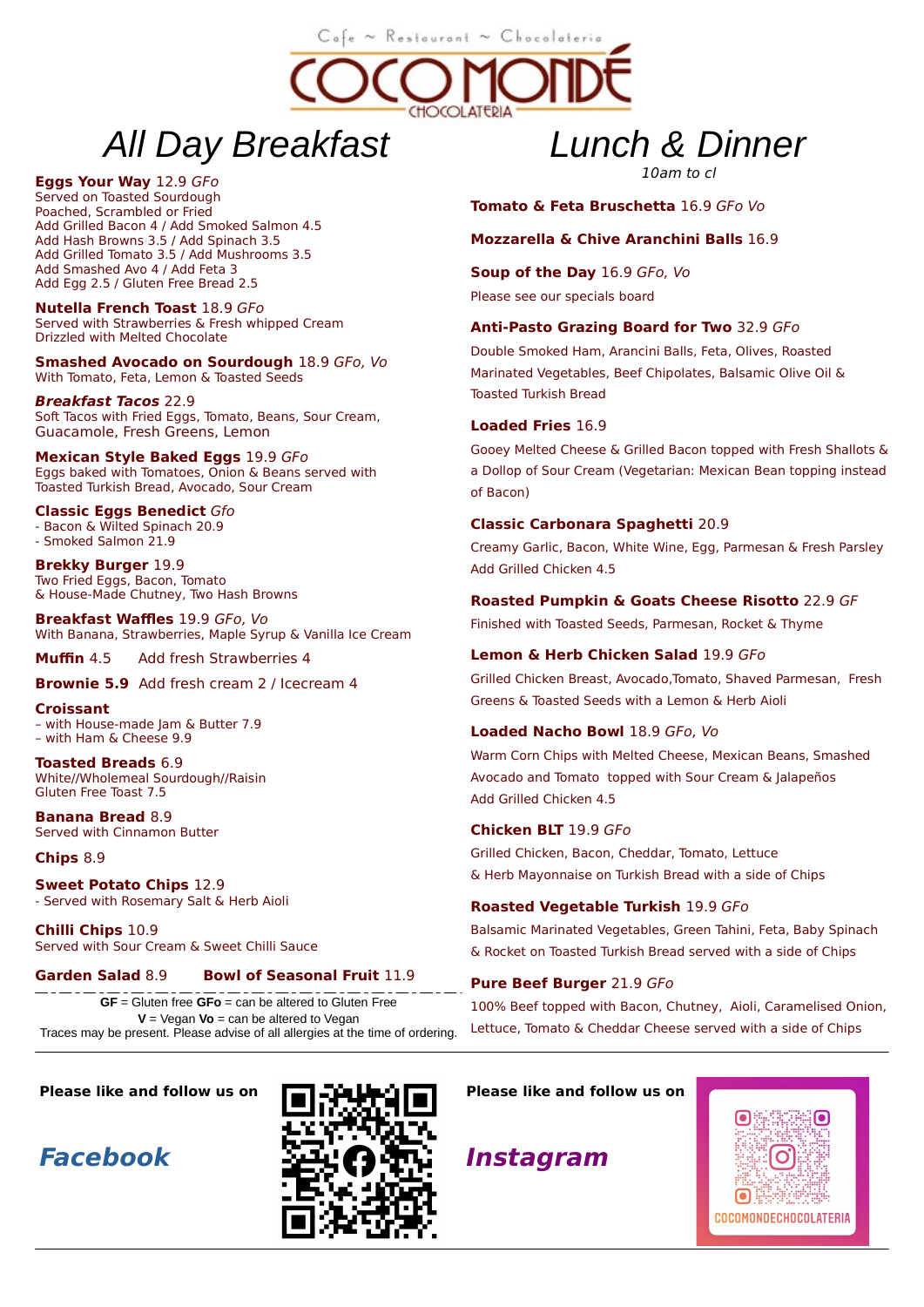# All Day Breakfast

#### Eggs Your Way 12.9 GFo

Served on Toasted Sourdough Poached, Scrambled or Fried Add Grilled Bacon 4 / Add Smoked Salmon 4.5 Add Hash Browns 3.5 / Add Spinach 3.5 Add Grilled Tomato 3.5 / Add Mushrooms 3.5 Add Smashed Avo 4 / Add Feta 3 Add Egg 2.5 / Gluten Free Bread 2.5

Nutella French Toast 18.9 GFo Served with Strawberries & Fresh whipped Cream Drizzled with Melted Chocolate

Smashed Avocado on Sourdough 18.9 GFo, Vo With Tomato, Feta, Lemon & Toasted Seeds

Breakfast Tacos 22.9 Soft Tacos with Fried Eggs, Tomato, Beans, Sour Cream, Guacamole, Fresh Greens, Lemon

Mexican Style Baked Eggs 19.9 GFo Eggs baked with Tomatoes, Onion & Beans served with Toasted Turkish Bread, Avocado, Sour Cream

Classic Eggs Benedict Gfo - Bacon & Wilted Spinach 20.9 - Smoked Salmon 21.9

Brekky Burger 19.9 Two Fried Eggs, Bacon, Tomato & House-Made Chutney, Two Hash Browns

Breakfast Waffles 19.9 GFo, Vo With Banana, Strawberries, Maple Syrup & Vanilla Ice Cream

Muffin 4.5 Add fresh Strawberries 4

Brownie 5.9 Add fresh cream 2 / Icecream 4

Croissant – with House-made Jam & Butter 7.9 – with Ham & Cheese 9.9

Toasted Breads 6.9 White//Wholemeal Sourdough//Raisin Gluten Free Toast 7.5

Banana Bread 8.9 Served with Cinnamon Butter

Chips 8.9

Sweet Potato Chips 12.9 - Served with Rosemary Salt & Herb Aioli

Chilli Chips 10.9 Served with Sour Cream & Sweet Chilli Sauce

## Garden Salad 8.9 Bowl of Seasonal Fruit 11.9

GF = Gluten free GFo = can be altered to Gluten Free  $V = V$ egan  $V$ o = can be altered to Vegan Traces may be present. Please advise of all allergies at the time of ordering.

Please like and follow us on





# Lunch & Dinner

10am to cl

## Tomato & Feta Bruschetta 16.9 GFo Vo

#### Mozzarella & Chive Aranchini Balls 16.9

Soup of the Day 16.9 GFo, Vo Please see our specials board

## Anti-Pasto Grazing Board for Two 32.9 GFo

Double Smoked Ham, Arancini Balls, Feta, Olives, Roasted Marinated Vegetables, Beef Chipolates, Balsamic Olive Oil & Toasted Turkish Bread

#### Loaded Fries 16.9

 $C<sub>afe</sub> \sim R<sub>estourant</sub> \sim Chocolateria$ 

**CHOCOLAT** 

Gooey Melted Cheese & Grilled Bacon topped with Fresh Shallots & a Dollop of Sour Cream (Vegetarian: Mexican Bean topping instead of Bacon)

#### Classic Carbonara Spaghetti 20.9

Creamy Garlic, Bacon, White Wine, Egg, Parmesan & Fresh Parsley Add Grilled Chicken 4.5

## Roasted Pumpkin & Goats Cheese Risotto 22.9 GF

Finished with Toasted Seeds, Parmesan, Rocket & Thyme

## Lemon & Herb Chicken Salad 19.9 GFo

Grilled Chicken Breast, Avocado,Tomato, Shaved Parmesan, Fresh Greens & Toasted Seeds with a Lemon & Herb Aioli

#### Loaded Nacho Bowl 18.9 GFo, Vo

Warm Corn Chips with Melted Cheese, Mexican Beans, Smashed Avocado and Tomato topped with Sour Cream & Jalapeños Add Grilled Chicken 4.5

#### Chicken BLT 19.9 GFo

Grilled Chicken, Bacon, Cheddar, Tomato, Lettuce & Herb Mayonnaise on Turkish Bread with a side of Chips

## Roasted Vegetable Turkish 19.9 GFo

Balsamic Marinated Vegetables, Green Tahini, Feta, Baby Spinach & Rocket on Toasted Turkish Bread served with a side of Chips

## Pure Beef Burger 21.9 GFo

100% Beef topped with Bacon, Chutney, Aioli, Caramelised Onion, Lettuce, Tomato & Cheddar Cheese served with a side of Chips

## Please like and follow us on

Instagram